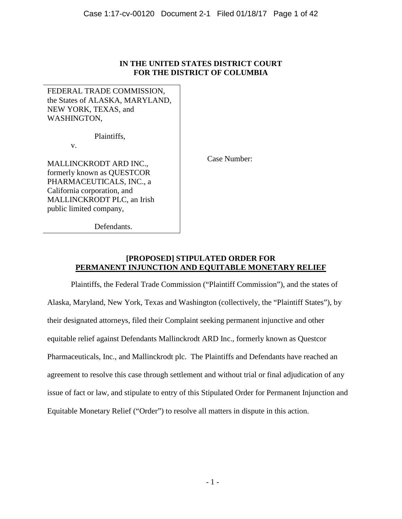# **IN THE UNITED STATES DISTRICT COURT FOR THE DISTRICT OF COLUMBIA**

FEDERAL TRADE COMMISSION, the States of ALASKA, MARYLAND, NEW YORK, TEXAS, and WASHINGTON,

Plaintiffs,

v.

MALLINCKRODT ARD INC., formerly known as QUESTCOR PHARMACEUTICALS, INC., a California corporation, and MALLINCKRODT PLC, an Irish public limited company,

Case Number:

Defendants.

# **[PROPOSED] STIPULATED ORDER FOR PERMANENT INJUNCTION AND EQUITABLE MONETARY RELIEF**

Plaintiffs, the Federal Trade Commission ("Plaintiff Commission"), and the states of Alaska, Maryland, New York, Texas and Washington (collectively, the "Plaintiff States"), by their designated attorneys, filed their Complaint seeking permanent injunctive and other equitable relief against Defendants Mallinckrodt ARD Inc., formerly known as Questcor Pharmaceuticals, Inc., and Mallinckrodt plc. The Plaintiffs and Defendants have reached an agreement to resolve this case through settlement and without trial or final adjudication of any issue of fact or law, and stipulate to entry of this Stipulated Order for Permanent Injunction and Equitable Monetary Relief ("Order") to resolve all matters in dispute in this action.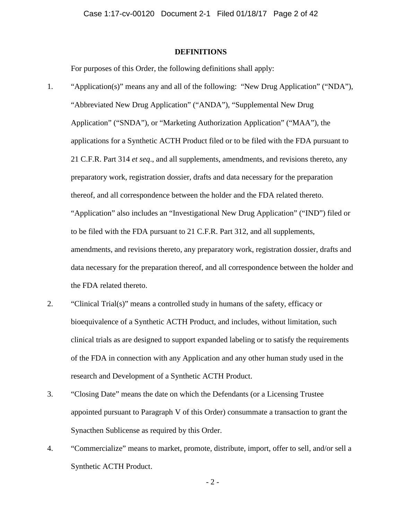# **DEFINITIONS**

For purposes of this Order, the following definitions shall apply:

- thereof, and all correspondence between the holder and the FDA related thereto. 1. "Application(s)" means any and all of the following: "New Drug Application" ("NDA"), "Abbreviated New Drug Application" ("ANDA"), "Supplemental New Drug Application" ("SNDA"), or "Marketing Authorization Application" ("MAA"), the applications for a Synthetic ACTH Product filed or to be filed with the FDA pursuant to 21 C.F.R. Part 314 *et seq*., and all supplements, amendments, and revisions thereto, any preparatory work, registration dossier, drafts and data necessary for the preparation "Application" also includes an "Investigational New Drug Application" ("IND") filed or to be filed with the FDA pursuant to 21 C.F.R. Part 312, and all supplements, amendments, and revisions thereto, any preparatory work, registration dossier, drafts and data necessary for the preparation thereof, and all correspondence between the holder and the FDA related thereto.
- 2. "Clinical Trial(s)" means a controlled study in humans of the safety, efficacy or bioequivalence of a Synthetic ACTH Product, and includes, without limitation, such clinical trials as are designed to support expanded labeling or to satisfy the requirements of the FDA in connection with any Application and any other human study used in the research and Development of a Synthetic ACTH Product.
- 3. "Closing Date" means the date on which the Defendants (or a Licensing Trustee appointed pursuant to Paragraph V of this Order) consummate a transaction to grant the Synacthen Sublicense as required by this Order.
- 4. "Commercialize" means to market, promote, distribute, import, offer to sell, and/or sell a Synthetic ACTH Product.

 $-2-$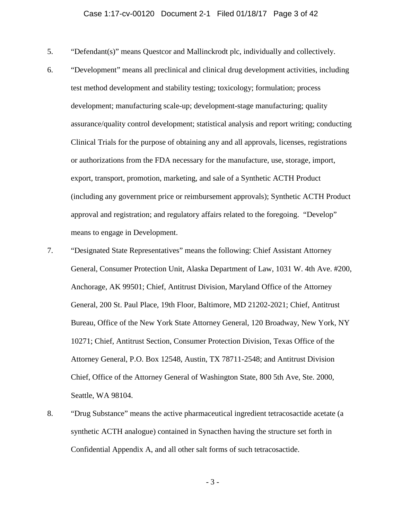- 5. "Defendant(s)" means Questcor and Mallinckrodt plc, individually and collectively.
- export, transport, promotion, marketing, and sale of a Synthetic ACTH Product 6. "Development" means all preclinical and clinical drug development activities, including test method development and stability testing; toxicology; formulation; process development; manufacturing scale-up; development-stage manufacturing; quality assurance/quality control development; statistical analysis and report writing; conducting Clinical Trials for the purpose of obtaining any and all approvals, licenses, registrations or authorizations from the FDA necessary for the manufacture, use, storage, import, (including any government price or reimbursement approvals); Synthetic ACTH Product approval and registration; and regulatory affairs related to the foregoing. "Develop" means to engage in Development.
- Anchorage, AK 99501; Chief, Antitrust Division, Maryland Office of the Attorney 7. "Designated State Representatives" means the following: Chief Assistant Attorney General, Consumer Protection Unit, Alaska Department of Law, 1031 W. 4th Ave. #200, General, 200 St. Paul Place, 19th Floor, Baltimore, MD 21202-2021; Chief, Antitrust Bureau, Office of the New York State Attorney General, 120 Broadway, New York, NY 10271; Chief, Antitrust Section, Consumer Protection Division, Texas Office of the Attorney General, P.O. Box 12548, Austin, TX 78711-2548; and Antitrust Division Chief, Office of the Attorney General of Washington State, 800 5th Ave, Ste. 2000, Seattle, WA 98104.
- 8. "Drug Substance" means the active pharmaceutical ingredient tetracosactide acetate (a synthetic ACTH analogue) contained in Synacthen having the structure set forth in Confidential Appendix A, and all other salt forms of such tetracosactide.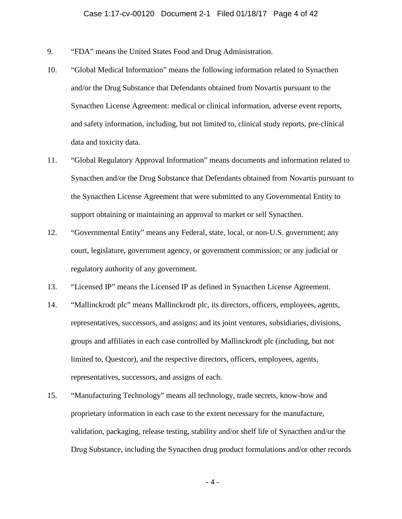- 9. "FDA" means the United States Food and Drug Administration.
- 10. "Global Medical Information" means the following information related to Synacthen and/or the Drug Substance that Defendants obtained from Novartis pursuant to the Synacthen License Agreement: medical or clinical information, adverse event reports, and safety information, including, but not limited to, clinical study reports, pre-clinical data and toxicity data.
- 11. "Global Regulatory Approval Information" means documents and information related to Synacthen and/or the Drug Substance that Defendants obtained from Novartis pursuant to the Synacthen License Agreement that were submitted to any Governmental Entity to support obtaining or maintaining an approval to market or sell Synacthen.
- regulatory authority of any government. 12. "Governmental Entity" means any Federal, state, local, or non-U.S. government; any court, legislature, government agency, or government commission; or any judicial or
- 13. "Licensed IP" means the Licensed IP as defined in Synacthen License Agreement.
- 14. "Mallinckrodt plc" means Mallinckrodt plc, its directors, officers, employees, agents, representatives, successors, and assigns; and its joint ventures, subsidiaries, divisions, groups and affiliates in each case controlled by Mallinckrodt plc (including, but not limited to, Questcor), and the respective directors, officers, employees, agents, representatives, successors, and assigns of each.
- 15. "Manufacturing Technology" means all technology, trade secrets, know-how and proprietary information in each case to the extent necessary for the manufacture, validation, packaging, release testing, stability and/or shelf life of Synacthen and/or the Drug Substance, including the Synacthen drug product formulations and/or other records

 $-4-$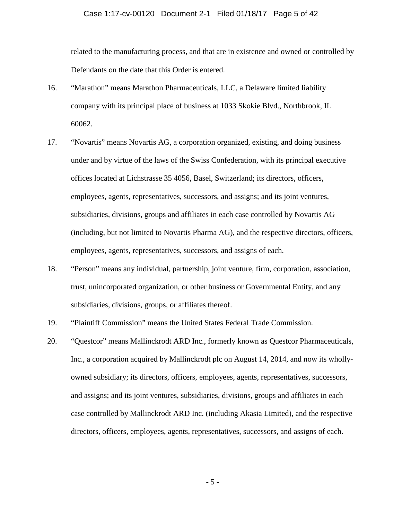### Case 1:17-cv-00120 Document 2-1 Filed 01/18/17 Page 5 of 42

related to the manufacturing process, and that are in existence and owned or controlled by Defendants on the date that this Order is entered.

- 16. "Marathon" means Marathon Pharmaceuticals, LLC, a Delaware limited liability company with its principal place of business at 1033 Skokie Blvd., Northbrook, IL 60062.
- 17. "Novartis" means Novartis AG, a corporation organized, existing, and doing business under and by virtue of the laws of the Swiss Confederation, with its principal executive offices located at Lichstrasse 35 4056, Basel, Switzerland; its directors, officers, employees, agents, representatives, successors, and assigns; and its joint ventures, subsidiaries, divisions, groups and affiliates in each case controlled by Novartis AG (including, but not limited to Novartis Pharma AG), and the respective directors, officers, employees, agents, representatives, successors, and assigns of each.
- trust, unincorporated organization, or other business or Governmental Entity, and any 18. "Person" means any individual, partnership, joint venture, firm, corporation, association, subsidiaries, divisions, groups, or affiliates thereof.
- 19. "Plaintiff Commission" means the United States Federal Trade Commission.
- and assigns; and its joint ventures, subsidiaries, divisions, groups and affiliates in each directors, officers, employees, agents, representatives, successors, and assigns of each. 20. "Questcor" means Mallinckrodt ARD Inc., formerly known as Questcor Pharmaceuticals, Inc., a corporation acquired by Mallinckrodt plc on August 14, 2014, and now its whollyowned subsidiary; its directors, officers, employees, agents, representatives, successors, case controlled by Mallinckrodt ARD Inc. (including Akasia Limited), and the respective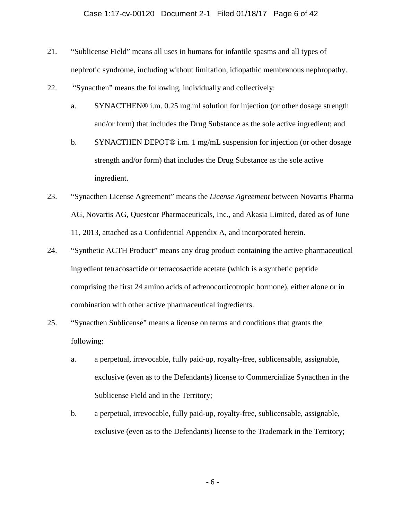# Case 1:17-cv-00120 Document 2-1 Filed 01/18/17 Page 6 of 42

- 21. "Sublicense Field" means all uses in humans for infantile spasms and all types of nephrotic syndrome, including without limitation, idiopathic membranous nephropathy.
- 22. "Synacthen" means the following, individually and collectively:
	- a. SYNACTHEN® i.m. 0.25 mg.ml solution for injection (or other dosage strength and/or form) that includes the Drug Substance as the sole active ingredient; and
	- b. SYNACTHEN DEPOT<sup>®</sup> i.m. 1 mg/mL suspension for injection (or other dosage strength and/or form) that includes the Drug Substance as the sole active ingredient.
- AG, Novartis AG, Questcor Pharmaceuticals, Inc., and Akasia Limited, dated as of June 23. "Synacthen License Agreement" means the *License Agreement* between Novartis Pharma 11, 2013, attached as a Confidential Appendix A, and incorporated herein.
- 24. "Synthetic ACTH Product" means any drug product containing the active pharmaceutical ingredient tetracosactide or tetracosactide acetate (which is a synthetic peptide comprising the first 24 amino acids of adrenocorticotropic hormone), either alone or in combination with other active pharmaceutical ingredients.
- 25. "Synacthen Sublicense" means a license on terms and conditions that grants the following:
	- exclusive (even as to the Defendants) license to Commercialize Synacthen in the a. a perpetual, irrevocable, fully paid-up, royalty-free, sublicensable, assignable, Sublicense Field and in the Territory;
	- b. a perpetual, irrevocable, fully paid-up, royalty-free, sublicensable, assignable, exclusive (even as to the Defendants) license to the Trademark in the Territory;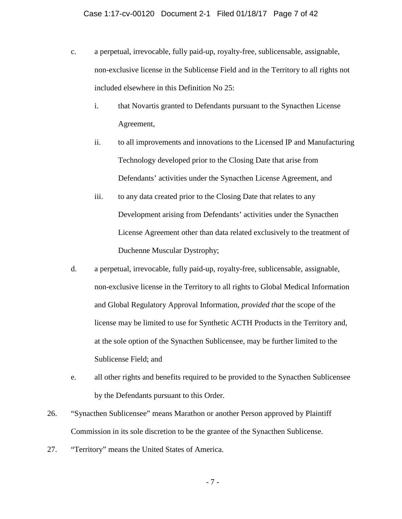- non-exclusive license in the Sublicense Field and in the Territory to all rights not c. a perpetual, irrevocable, fully paid-up, royalty-free, sublicensable, assignable, included elsewhere in this Definition No 25:
	- i. that Novartis granted to Defendants pursuant to the Synacthen License Agreement,
	- ii. to all improvements and innovations to the Licensed IP and Manufacturing Technology developed prior to the Closing Date that arise from Defendants' activities under the Synacthen License Agreement, and
	- iii. to any data created prior to the Closing Date that relates to any Development arising from Defendants' activities under the Synacthen License Agreement other than data related exclusively to the treatment of Duchenne Muscular Dystrophy;
- d. a perpetual, irrevocable, fully paid-up, royalty-free, sublicensable, assignable, non-exclusive license in the Territory to all rights to Global Medical Information and Global Regulatory Approval Information, *provided that* the scope of the license may be limited to use for Synthetic ACTH Products in the Territory and, at the sole option of the Synacthen Sublicensee, may be further limited to the Sublicense Field; and
- e. all other rights and benefits required to be provided to the Synacthen Sublicensee by the Defendants pursuant to this Order.
- 26. "Synacthen Sublicensee" means Marathon or another Person approved by Plaintiff Commission in its sole discretion to be the grantee of the Synacthen Sublicense.
- 27. "Territory" means the United States of America.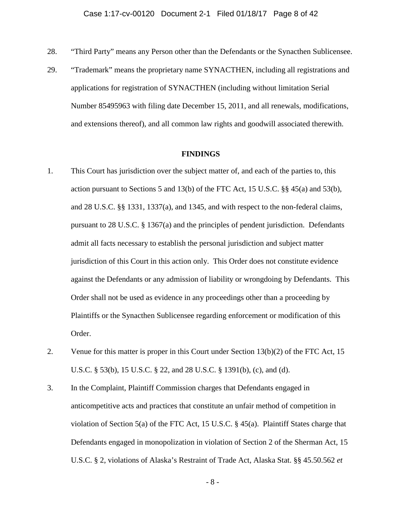- 28. "Third Party" means any Person other than the Defendants or the Synacthen Sublicensee.
- 29. "Trademark" means the proprietary name SYNACTHEN, including all registrations and applications for registration of SYNACTHEN (including without limitation Serial and extensions thereof), and all common law rights and goodwill associated therewith. Number 85495963 with filing date December 15, 2011, and all renewals, modifications,

#### **FINDINGS**

- against the Defendants or any admission of liability or wrongdoing by Defendants. This 1. This Court has jurisdiction over the subject matter of, and each of the parties to, this action pursuant to Sections 5 and 13(b) of the FTC Act, 15 U.S.C.  $\S$  45(a) and 53(b), and 28 U.S.C. §§ 1331, 1337(a), and 1345, and with respect to the non-federal claims, pursuant to 28 U.S.C. § 1367(a) and the principles of pendent jurisdiction. Defendants admit all facts necessary to establish the personal jurisdiction and subject matter jurisdiction of this Court in this action only. This Order does not constitute evidence Order shall not be used as evidence in any proceedings other than a proceeding by Plaintiffs or the Synacthen Sublicensee regarding enforcement or modification of this Order.
- 2. Venue for this matter is proper in this Court under Section  $13(b)(2)$  of the FTC Act, 15 U.S.C. § 53(b), 15 U.S.C. § 22, and 28 U.S.C. § 1391(b), (c), and (d).
- 3. In the Complaint, Plaintiff Commission charges that Defendants engaged in anticompetitive acts and practices that constitute an unfair method of competition in violation of Section 5(a) of the FTC Act, 15 U.S.C. § 45(a). Plaintiff States charge that Defendants engaged in monopolization in violation of Section 2 of the Sherman Act, 15 U.S.C. § 2, violations of Alaska's Restraint of Trade Act, Alaska Stat. §§ 45.50.562 *et*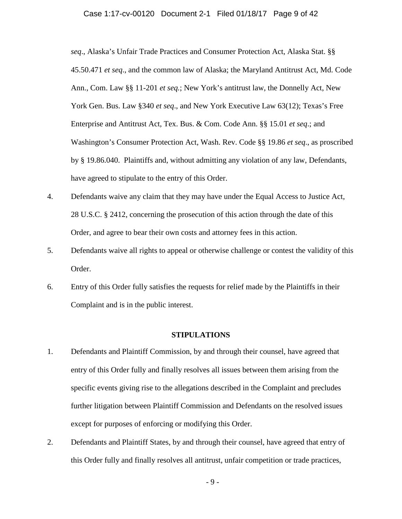# Case 1:17-cv-00120 Document 2-1 Filed 01/18/17 Page 9 of 42

*seq*., Alaska's Unfair Trade Practices and Consumer Protection Act, Alaska Stat. §§ 45.50.471 *et seq*., and the common law of Alaska; the Maryland Antitrust Act, Md. Code Ann., Com. Law §§ 11-201 *et seq.*; New York's antitrust law, the Donnelly Act, New York Gen. Bus. Law §340 *et seq*., and New York Executive Law 63(12); Texas's Free Enterprise and Antitrust Act, Tex. Bus. & Com. Code Ann. §§ 15.01 *et seq*.; and Washington's Consumer Protection Act, Wash. Rev. Code §§ 19.86 *et seq*., as proscribed by § 19.86.040. Plaintiffs and, without admitting any violation of any law, Defendants, have agreed to stipulate to the entry of this Order.

- 4. Defendants waive any claim that they may have under the Equal Access to Justice Act, 28 U.S.C. § 2412, concerning the prosecution of this action through the date of this Order, and agree to bear their own costs and attorney fees in this action.
- 5. Defendants waive all rights to appeal or otherwise challenge or contest the validity of this Order.
- 6. Entry of this Order fully satisfies the requests for relief made by the Plaintiffs in their Complaint and is in the public interest.

# **STIPULATIONS**

- entry of this Order fully and finally resolves all issues between them arising from the 1. Defendants and Plaintiff Commission, by and through their counsel, have agreed that specific events giving rise to the allegations described in the Complaint and precludes further litigation between Plaintiff Commission and Defendants on the resolved issues except for purposes of enforcing or modifying this Order.
- 2. Defendants and Plaintiff States, by and through their counsel, have agreed that entry of this Order fully and finally resolves all antitrust, unfair competition or trade practices,

 $-9-$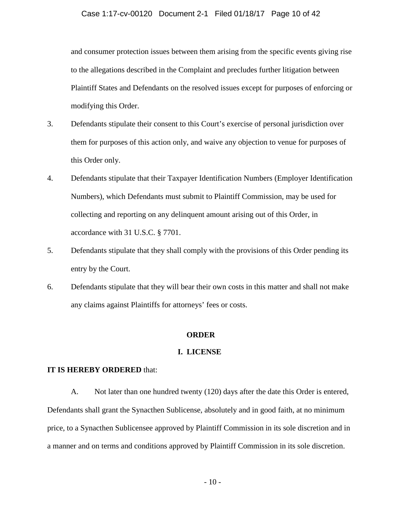and consumer protection issues between them arising from the specific events giving rise to the allegations described in the Complaint and precludes further litigation between Plaintiff States and Defendants on the resolved issues except for purposes of enforcing or modifying this Order.

- 3. Defendants stipulate their consent to this Court's exercise of personal jurisdiction over them for purposes of this action only, and waive any objection to venue for purposes of this Order only.
- 4. Defendants stipulate that their Taxpayer Identification Numbers (Employer Identification Numbers), which Defendants must submit to Plaintiff Commission, may be used for collecting and reporting on any delinquent amount arising out of this Order, in accordance with 31 U.S.C. § 7701.
- 5. Defendants stipulate that they shall comply with the provisions of this Order pending its entry by the Court.
- 6. Defendants stipulate that they will bear their own costs in this matter and shall not make any claims against Plaintiffs for attorneys' fees or costs.

# **ORDER**

# **I. LICENSE**

# **IT IS HEREBY ORDERED** that:

 A. Not later than one hundred twenty (120) days after the date this Order is entered, a manner and on terms and conditions approved by Plaintiff Commission in its sole discretion. Defendants shall grant the Synacthen Sublicense, absolutely and in good faith, at no minimum price, to a Synacthen Sublicensee approved by Plaintiff Commission in its sole discretion and in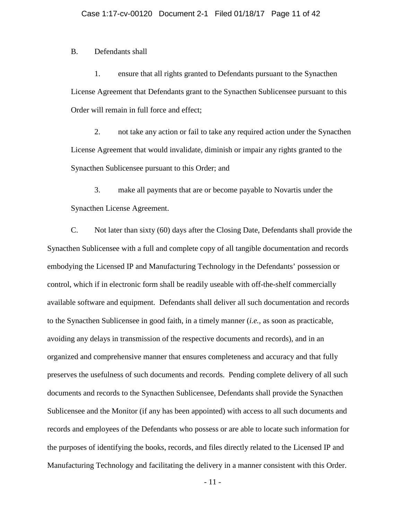B. Defendants shall

1. ensure that all rights granted to Defendants pursuant to the Synacthen License Agreement that Defendants grant to the Synacthen Sublicensee pursuant to this Order will remain in full force and effect;

2. not take any action or fail to take any required action under the Synacthen License Agreement that would invalidate, diminish or impair any rights granted to the Synacthen Sublicensee pursuant to this Order; and

3. make all payments that are or become payable to Novartis under the Synacthen License Agreement.

 C. Not later than sixty (60) days after the Closing Date, Defendants shall provide the Synacthen Sublicensee with a full and complete copy of all tangible documentation and records embodying the Licensed IP and Manufacturing Technology in the Defendants' possession or control, which if in electronic form shall be readily useable with off-the-shelf commercially available software and equipment. Defendants shall deliver all such documentation and records to the Synacthen Sublicensee in good faith, in a timely manner (*i.e.*, as soon as practicable, avoiding any delays in transmission of the respective documents and records), and in an organized and comprehensive manner that ensures completeness and accuracy and that fully preserves the usefulness of such documents and records. Pending complete delivery of all such documents and records to the Synacthen Sublicensee, Defendants shall provide the Synacthen Sublicensee and the Monitor (if any has been appointed) with access to all such documents and records and employees of the Defendants who possess or are able to locate such information for the purposes of identifying the books, records, and files directly related to the Licensed IP and Manufacturing Technology and facilitating the delivery in a manner consistent with this Order.

 $-11-$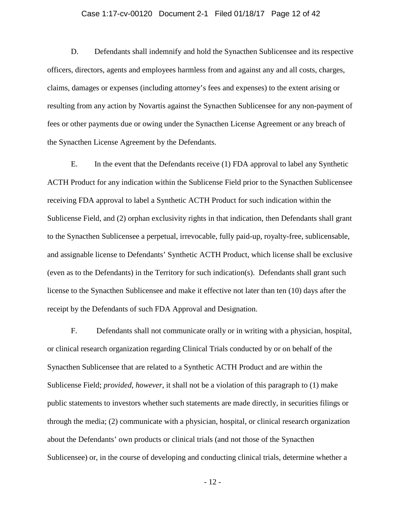# Case 1:17-cv-00120 Document 2-1 Filed 01/18/17 Page 12 of 42

 fees or other payments due or owing under the Synacthen License Agreement or any breach of D. Defendants shall indemnify and hold the Synacthen Sublicensee and its respective officers, directors, agents and employees harmless from and against any and all costs, charges, claims, damages or expenses (including attorney's fees and expenses) to the extent arising or resulting from any action by Novartis against the Synacthen Sublicensee for any non-payment of the Synacthen License Agreement by the Defendants.

 Sublicense Field, and (2) orphan exclusivity rights in that indication, then Defendants shall grant E. In the event that the Defendants receive (1) FDA approval to label any Synthetic ACTH Product for any indication within the Sublicense Field prior to the Synacthen Sublicensee receiving FDA approval to label a Synthetic ACTH Product for such indication within the to the Synacthen Sublicensee a perpetual, irrevocable, fully paid-up, royalty-free, sublicensable, and assignable license to Defendants' Synthetic ACTH Product, which license shall be exclusive (even as to the Defendants) in the Territory for such indication(s). Defendants shall grant such license to the Synacthen Sublicensee and make it effective not later than ten (10) days after the receipt by the Defendants of such FDA Approval and Designation.

F. Defendants shall not communicate orally or in writing with a physician, hospital, or clinical research organization regarding Clinical Trials conducted by or on behalf of the Synacthen Sublicensee that are related to a Synthetic ACTH Product and are within the Sublicense Field; *provided, however*, it shall not be a violation of this paragraph to (1) make public statements to investors whether such statements are made directly, in securities filings or through the media; (2) communicate with a physician, hospital, or clinical research organization about the Defendants' own products or clinical trials (and not those of the Synacthen Sublicensee) or, in the course of developing and conducting clinical trials, determine whether a

 $-12-$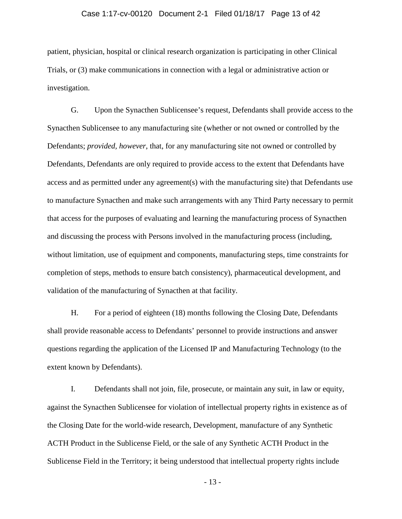# Case 1:17-cv-00120 Document 2-1 Filed 01/18/17 Page 13 of 42

patient, physician, hospital or clinical research organization is participating in other Clinical Trials, or (3) make communications in connection with a legal or administrative action or investigation.

 validation of the manufacturing of Synacthen at that facility. G. Upon the Synacthen Sublicensee's request, Defendants shall provide access to the Synacthen Sublicensee to any manufacturing site (whether or not owned or controlled by the Defendants; *provided, however*, that, for any manufacturing site not owned or controlled by Defendants, Defendants are only required to provide access to the extent that Defendants have access and as permitted under any agreement(s) with the manufacturing site) that Defendants use to manufacture Synacthen and make such arrangements with any Third Party necessary to permit that access for the purposes of evaluating and learning the manufacturing process of Synacthen and discussing the process with Persons involved in the manufacturing process (including, without limitation, use of equipment and components, manufacturing steps, time constraints for completion of steps, methods to ensure batch consistency), pharmaceutical development, and

 shall provide reasonable access to Defendants' personnel to provide instructions and answer questions regarding the application of the Licensed IP and Manufacturing Technology (to the H. For a period of eighteen (18) months following the Closing Date, Defendants extent known by Defendants).

 the Closing Date for the world-wide research, Development, manufacture of any Synthetic I. Defendants shall not join, file, prosecute, or maintain any suit, in law or equity, against the Synacthen Sublicensee for violation of intellectual property rights in existence as of ACTH Product in the Sublicense Field, or the sale of any Synthetic ACTH Product in the Sublicense Field in the Territory; it being understood that intellectual property rights include

 $-13-$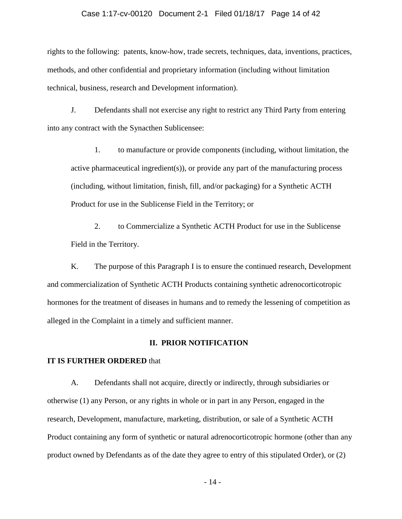# Case 1:17-cv-00120 Document 2-1 Filed 01/18/17 Page 14 of 42

rights to the following: patents, know-how, trade secrets, techniques, data, inventions, practices, methods, and other confidential and proprietary information (including without limitation technical, business, research and Development information).

J. Defendants shall not exercise any right to restrict any Third Party from entering into any contract with the Synacthen Sublicensee:

1. to manufacture or provide components (including, without limitation, the active pharmaceutical ingredient(s)), or provide any part of the manufacturing process (including, without limitation, finish, fill, and/or packaging) for a Synthetic ACTH Product for use in the Sublicense Field in the Territory; or

2. to Commercialize a Synthetic ACTH Product for use in the Sublicense Field in the Territory.

K. The purpose of this Paragraph I is to ensure the continued research, Development and commercialization of Synthetic ACTH Products containing synthetic adrenocorticotropic hormones for the treatment of diseases in humans and to remedy the lessening of competition as alleged in the Complaint in a timely and sufficient manner.

# **II. PRIOR NOTIFICATION**

# **IT IS FURTHER ORDERED** that

 otherwise (1) any Person, or any rights in whole or in part in any Person, engaged in the A. Defendants shall not acquire, directly or indirectly, through subsidiaries or research, Development, manufacture, marketing, distribution, or sale of a Synthetic ACTH Product containing any form of synthetic or natural adrenocorticotropic hormone (other than any product owned by Defendants as of the date they agree to entry of this stipulated Order), or (2)

 $-14-$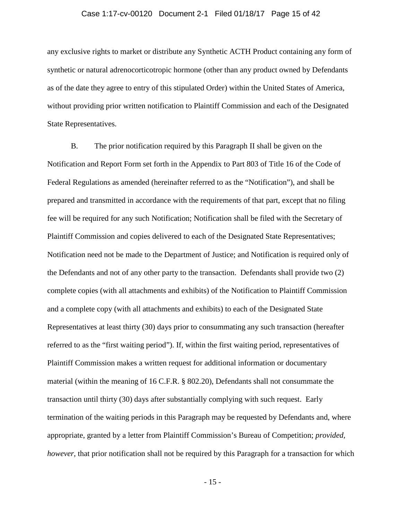### Case 1:17-cv-00120 Document 2-1 Filed 01/18/17 Page 15 of 42

any exclusive rights to market or distribute any Synthetic ACTH Product containing any form of synthetic or natural adrenocorticotropic hormone (other than any product owned by Defendants as of the date they agree to entry of this stipulated Order) within the United States of America, without providing prior written notification to Plaintiff Commission and each of the Designated State Representatives.

 fee will be required for any such Notification; Notification shall be filed with the Secretary of termination of the waiting periods in this Paragraph may be requested by Defendants and, where appropriate, granted by a letter from Plaintiff Commission's Bureau of Competition; *provided,*  B. The prior notification required by this Paragraph II shall be given on the Notification and Report Form set forth in the Appendix to Part 803 of Title 16 of the Code of Federal Regulations as amended (hereinafter referred to as the "Notification"), and shall be prepared and transmitted in accordance with the requirements of that part, except that no filing Plaintiff Commission and copies delivered to each of the Designated State Representatives; Notification need not be made to the Department of Justice; and Notification is required only of the Defendants and not of any other party to the transaction. Defendants shall provide two (2) complete copies (with all attachments and exhibits) of the Notification to Plaintiff Commission and a complete copy (with all attachments and exhibits) to each of the Designated State Representatives at least thirty (30) days prior to consummating any such transaction (hereafter referred to as the "first waiting period"). If, within the first waiting period, representatives of Plaintiff Commission makes a written request for additional information or documentary material (within the meaning of 16 C.F.R. § 802.20), Defendants shall not consummate the transaction until thirty (30) days after substantially complying with such request. Early *however*, that prior notification shall not be required by this Paragraph for a transaction for which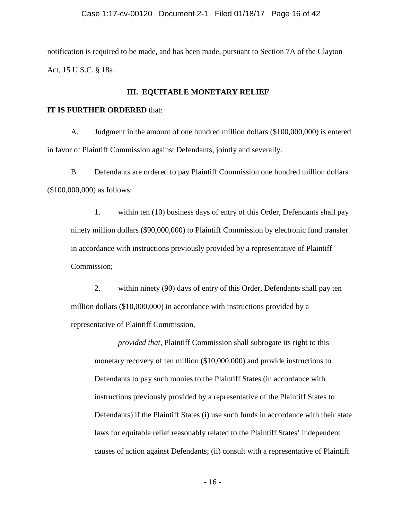notification is required to be made, and has been made, pursuant to Section 7A of the Clayton Act, 15 U.S.C. § 18a.

# **III. EQUITABLE MONETARY RELIEF**

### **IT IS FURTHER ORDERED** that:

A. Judgment in the amount of one hundred million dollars (\$100,000,000) is entered in favor of Plaintiff Commission against Defendants, jointly and severally.

B. Defendants are ordered to pay Plaintiff Commission one hundred million dollars (\$100,000,000) as follows:

1. within ten (10) business days of entry of this Order, Defendants shall pay ninety million dollars (\$90,000,000) to Plaintiff Commission by electronic fund transfer in accordance with instructions previously provided by a representative of Plaintiff Commission;

 million dollars (\$10,000,000) in accordance with instructions provided by a 2. within ninety (90) days of entry of this Order, Defendants shall pay ten representative of Plaintiff Commission,

*provided that*, Plaintiff Commission shall subrogate its right to this monetary recovery of ten million (\$10,000,000) and provide instructions to Defendants to pay such monies to the Plaintiff States (in accordance with instructions previously provided by a representative of the Plaintiff States to Defendants) if the Plaintiff States (i) use such funds in accordance with their state laws for equitable relief reasonably related to the Plaintiff States' independent causes of action against Defendants; (ii) consult with a representative of Plaintiff

 $-16-$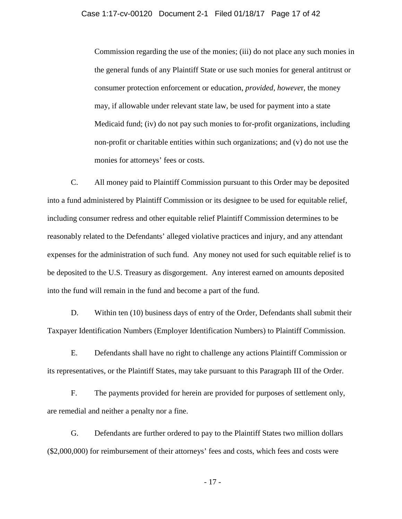# Case 1:17-cv-00120 Document 2-1 Filed 01/18/17 Page 17 of 42

Commission regarding the use of the monies; (iii) do not place any such monies in the general funds of any Plaintiff State or use such monies for general antitrust or consumer protection enforcement or education, *provided, howeve*r, the money may, if allowable under relevant state law, be used for payment into a state Medicaid fund; (iv) do not pay such monies to for-profit organizations, including non-profit or charitable entities within such organizations; and (v) do not use the monies for attorneys' fees or costs.

C. All money paid to Plaintiff Commission pursuant to this Order may be deposited into a fund administered by Plaintiff Commission or its designee to be used for equitable relief, including consumer redress and other equitable relief Plaintiff Commission determines to be reasonably related to the Defendants' alleged violative practices and injury, and any attendant expenses for the administration of such fund. Any money not used for such equitable relief is to be deposited to the U.S. Treasury as disgorgement. Any interest earned on amounts deposited into the fund will remain in the fund and become a part of the fund.

D. Within ten (10) business days of entry of the Order, Defendants shall submit their Taxpayer Identification Numbers (Employer Identification Numbers) to Plaintiff Commission.

 E. Defendants shall have no right to challenge any actions Plaintiff Commission or its representatives, or the Plaintiff States, may take pursuant to this Paragraph III of the Order.

F. The payments provided for herein are provided for purposes of settlement only, are remedial and neither a penalty nor a fine.

G. Defendants are further ordered to pay to the Plaintiff States two million dollars (\$2,000,000) for reimbursement of their attorneys' fees and costs, which fees and costs were

 $-17-$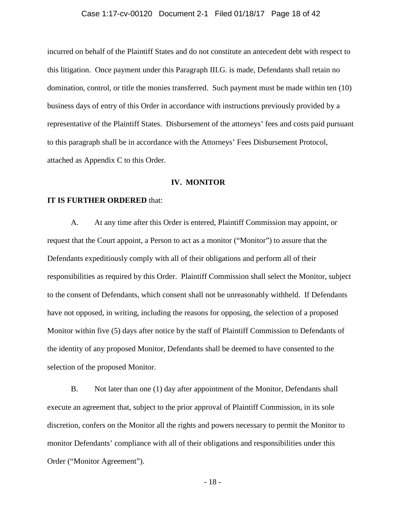# Case 1:17-cv-00120 Document 2-1 Filed 01/18/17 Page 18 of 42

 business days of entry of this Order in accordance with instructions previously provided by a incurred on behalf of the Plaintiff States and do not constitute an antecedent debt with respect to this litigation. Once payment under this Paragraph III.G. is made, Defendants shall retain no domination, control, or title the monies transferred. Such payment must be made within ten (10) representative of the Plaintiff States. Disbursement of the attorneys' fees and costs paid pursuant to this paragraph shall be in accordance with the Attorneys' Fees Disbursement Protocol, attached as Appendix C to this Order.

# **IV. MONITOR**

### **IT IS FURTHER ORDERED** that:

 request that the Court appoint, a Person to act as a monitor ("Monitor") to assure that the Defendants expeditiously comply with all of their obligations and perform all of their A. At any time after this Order is entered, Plaintiff Commission may appoint, or responsibilities as required by this Order. Plaintiff Commission shall select the Monitor, subject to the consent of Defendants, which consent shall not be unreasonably withheld. If Defendants have not opposed, in writing, including the reasons for opposing, the selection of a proposed Monitor within five (5) days after notice by the staff of Plaintiff Commission to Defendants of the identity of any proposed Monitor, Defendants shall be deemed to have consented to the selection of the proposed Monitor.

 B. Not later than one (1) day after appointment of the Monitor, Defendants shall execute an agreement that, subject to the prior approval of Plaintiff Commission, in its sole discretion, confers on the Monitor all the rights and powers necessary to permit the Monitor to monitor Defendants' compliance with all of their obligations and responsibilities under this Order ("Monitor Agreement").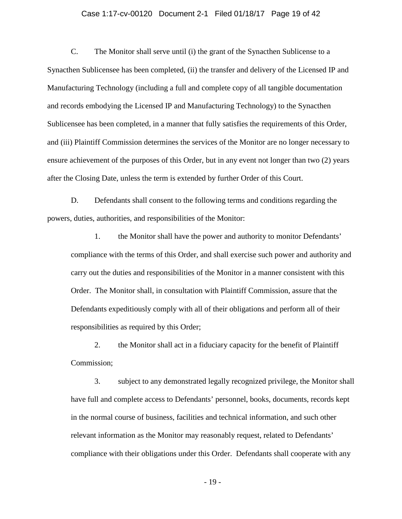# Case 1:17-cv-00120 Document 2-1 Filed 01/18/17 Page 19 of 42

 C. The Monitor shall serve until (i) the grant of the Synacthen Sublicense to a Synacthen Sublicensee has been completed, (ii) the transfer and delivery of the Licensed IP and and (iii) Plaintiff Commission determines the services of the Monitor are no longer necessary to Manufacturing Technology (including a full and complete copy of all tangible documentation and records embodying the Licensed IP and Manufacturing Technology) to the Synacthen Sublicensee has been completed, in a manner that fully satisfies the requirements of this Order, ensure achievement of the purposes of this Order, but in any event not longer than two (2) years after the Closing Date, unless the term is extended by further Order of this Court.

D. Defendants shall consent to the following terms and conditions regarding the powers, duties, authorities, and responsibilities of the Monitor:

 Defendants expeditiously comply with all of their obligations and perform all of their 1. the Monitor shall have the power and authority to monitor Defendants' compliance with the terms of this Order, and shall exercise such power and authority and carry out the duties and responsibilities of the Monitor in a manner consistent with this Order. The Monitor shall, in consultation with Plaintiff Commission, assure that the responsibilities as required by this Order;

2. the Monitor shall act in a fiduciary capacity for the benefit of Plaintiff Commission;

3. subject to any demonstrated legally recognized privilege, the Monitor shall have full and complete access to Defendants' personnel, books, documents, records kept in the normal course of business, facilities and technical information, and such other relevant information as the Monitor may reasonably request, related to Defendants' compliance with their obligations under this Order. Defendants shall cooperate with any

 $-19-$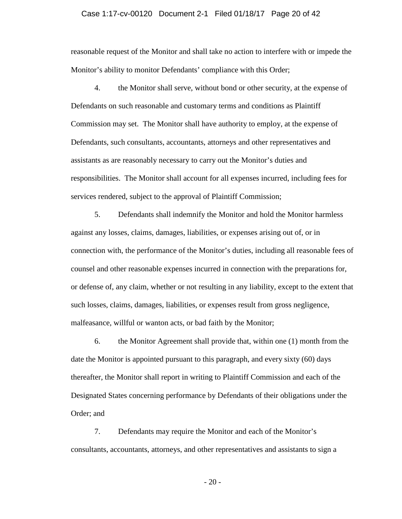# Case 1:17-cv-00120 Document 2-1 Filed 01/18/17 Page 20 of 42

reasonable request of the Monitor and shall take no action to interfere with or impede the Monitor's ability to monitor Defendants' compliance with this Order;

 4. the Monitor shall serve, without bond or other security, at the expense of Defendants on such reasonable and customary terms and conditions as Plaintiff Commission may set. The Monitor shall have authority to employ, at the expense of Defendants, such consultants, accountants, attorneys and other representatives and assistants as are reasonably necessary to carry out the Monitor's duties and responsibilities. The Monitor shall account for all expenses incurred, including fees for services rendered, subject to the approval of Plaintiff Commission;

5. Defendants shall indemnify the Monitor and hold the Monitor harmless against any losses, claims, damages, liabilities, or expenses arising out of, or in connection with, the performance of the Monitor's duties, including all reasonable fees of counsel and other reasonable expenses incurred in connection with the preparations for, or defense of, any claim, whether or not resulting in any liability, except to the extent that such losses, claims, damages, liabilities, or expenses result from gross negligence, malfeasance, willful or wanton acts, or bad faith by the Monitor;

6. the Monitor Agreement shall provide that, within one (1) month from the date the Monitor is appointed pursuant to this paragraph, and every sixty (60) days thereafter, the Monitor shall report in writing to Plaintiff Commission and each of the Designated States concerning performance by Defendants of their obligations under the Order; and

7. Defendants may require the Monitor and each of the Monitor's consultants, accountants, attorneys, and other representatives and assistants to sign a

 $-20-$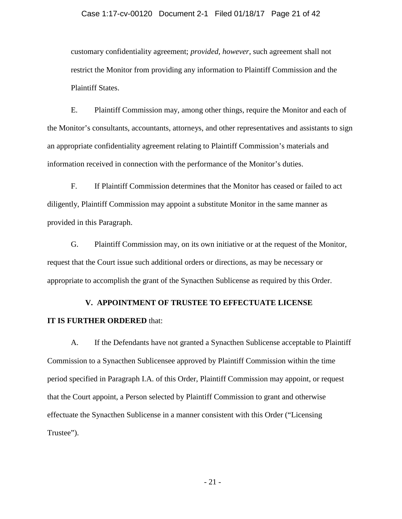# Case 1:17-cv-00120 Document 2-1 Filed 01/18/17 Page 21 of 42

 customary confidentiality agreement; *provided, however*, such agreement shall not restrict the Monitor from providing any information to Plaintiff Commission and the Plaintiff States.

 an appropriate confidentiality agreement relating to Plaintiff Commission's materials and E. Plaintiff Commission may, among other things, require the Monitor and each of the Monitor's consultants, accountants, attorneys, and other representatives and assistants to sign information received in connection with the performance of the Monitor's duties.

F. If Plaintiff Commission determines that the Monitor has ceased or failed to act diligently, Plaintiff Commission may appoint a substitute Monitor in the same manner as provided in this Paragraph.

G. Plaintiff Commission may, on its own initiative or at the request of the Monitor, request that the Court issue such additional orders or directions, as may be necessary or appropriate to accomplish the grant of the Synacthen Sublicense as required by this Order.

# **V. APPOINTMENT OF TRUSTEE TO EFFECTUATE LICENSE IT IS FURTHER ORDERED** that:

# A. If the Defendants have not granted a Synacthen Sublicense acceptable to Plaintiff Commission to a Synacthen Sublicensee approved by Plaintiff Commission within the time period specified in Paragraph I.A. of this Order, Plaintiff Commission may appoint, or request that the Court appoint, a Person selected by Plaintiff Commission to grant and otherwise effectuate the Synacthen Sublicense in a manner consistent with this Order ("Licensing Trustee").

 $-21-$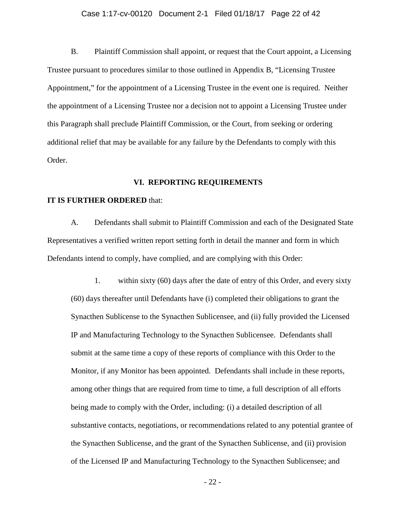# Case 1:17-cv-00120 Document 2-1 Filed 01/18/17 Page 22 of 42

 B. Plaintiff Commission shall appoint, or request that the Court appoint, a Licensing Trustee pursuant to procedures similar to those outlined in Appendix B, "Licensing Trustee additional relief that may be available for any failure by the Defendants to comply with this Appointment," for the appointment of a Licensing Trustee in the event one is required. Neither the appointment of a Licensing Trustee nor a decision not to appoint a Licensing Trustee under this Paragraph shall preclude Plaintiff Commission, or the Court, from seeking or ordering Order.

# **VI. REPORTING REQUIREMENTS**

# **IT IS FURTHER ORDERED** that:

 A. Defendants shall submit to Plaintiff Commission and each of the Designated State Representatives a verified written report setting forth in detail the manner and form in which Defendants intend to comply, have complied, and are complying with this Order:

 of the Licensed IP and Manufacturing Technology to the Synacthen Sublicensee; and 1. within sixty (60) days after the date of entry of this Order, and every sixty (60) days thereafter until Defendants have (i) completed their obligations to grant the Synacthen Sublicense to the Synacthen Sublicensee, and (ii) fully provided the Licensed IP and Manufacturing Technology to the Synacthen Sublicensee. Defendants shall submit at the same time a copy of these reports of compliance with this Order to the Monitor, if any Monitor has been appointed. Defendants shall include in these reports, among other things that are required from time to time, a full description of all efforts being made to comply with the Order, including: (i) a detailed description of all substantive contacts, negotiations, or recommendations related to any potential grantee of the Synacthen Sublicense, and the grant of the Synacthen Sublicense, and (ii) provision

 $-22-$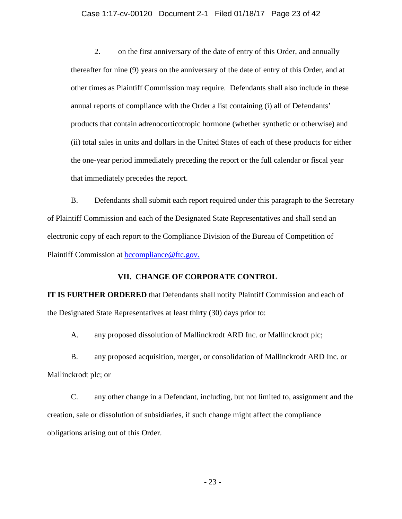### Case 1:17-cv-00120 Document 2-1 Filed 01/18/17 Page 23 of 42

 the one-year period immediately preceding the report or the full calendar or fiscal year 2. on the first anniversary of the date of entry of this Order, and annually thereafter for nine (9) years on the anniversary of the date of entry of this Order, and at other times as Plaintiff Commission may require. Defendants shall also include in these annual reports of compliance with the Order a list containing (i) all of Defendants' products that contain adrenocorticotropic hormone (whether synthetic or otherwise) and (ii) total sales in units and dollars in the United States of each of these products for either that immediately precedes the report.

B. Defendants shall submit each report required under this paragraph to the Secretary of Plaintiff Commission and each of the Designated State Representatives and shall send an electronic copy of each report to the Compliance Division of the Bureau of Competition of Plaintiff Commission at bccompliance@ftc.gov.

### **VII. CHANGE OF CORPORATE CONTROL**

**IT IS FURTHER ORDERED** that Defendants shall notify Plaintiff Commission and each of the Designated State Representatives at least thirty (30) days prior to:

A. any proposed dissolution of Mallinckrodt ARD Inc. or Mallinckrodt plc;

 B. any proposed acquisition, merger, or consolidation of Mallinckrodt ARD Inc. or Mallinckrodt plc; or

 creation, sale or dissolution of subsidiaries, if such change might affect the compliance C. any other change in a Defendant, including, but not limited to, assignment and the obligations arising out of this Order.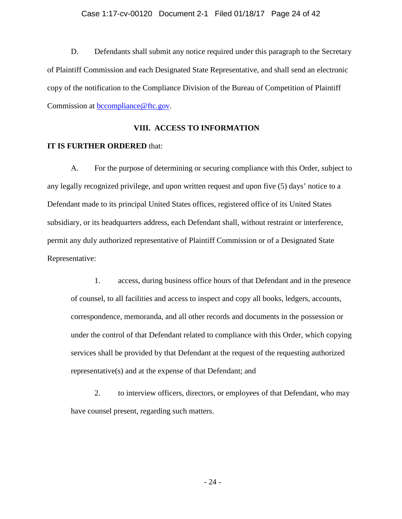# Case 1:17-cv-00120 Document 2-1 Filed 01/18/17 Page 24 of 42

D. Defendants shall submit any notice required under this paragraph to the Secretary of Plaintiff Commission and each Designated State Representative, and shall send an electronic copy of the notification to the Compliance Division of the Bureau of Competition of Plaintiff Commission at bccompliance@ftc.gov.

# **VIII. ACCESS TO INFORMATION**

# **IT IS FURTHER ORDERED** that:

A. For the purpose of determining or securing compliance with this Order, subject to any legally recognized privilege, and upon written request and upon five (5) days' notice to a Defendant made to its principal United States offices, registered office of its United States subsidiary, or its headquarters address, each Defendant shall, without restraint or interference, permit any duly authorized representative of Plaintiff Commission or of a Designated State Representative:

 1. access, during business office hours of that Defendant and in the presence services shall be provided by that Defendant at the request of the requesting authorized of counsel, to all facilities and access to inspect and copy all books, ledgers, accounts, correspondence, memoranda, and all other records and documents in the possession or under the control of that Defendant related to compliance with this Order, which copying representative(s) and at the expense of that Defendant; and

2. to interview officers, directors, or employees of that Defendant, who may have counsel present, regarding such matters.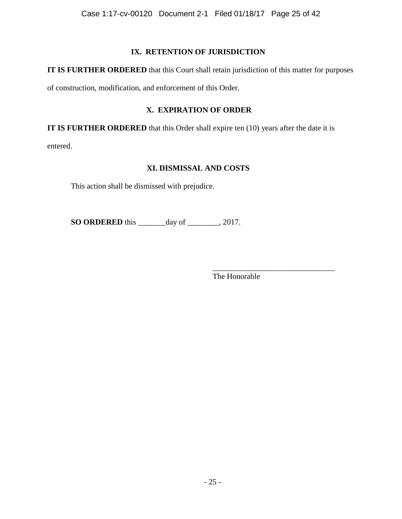# **IX. RETENTION OF JURISDICTION**

**IT IS FURTHER ORDERED** that this Court shall retain jurisdiction of this matter for purposes

of construction, modification, and enforcement of this Order.

# **X. EXPIRATION OF ORDER**

**IT IS FURTHER ORDERED** that this Order shall expire ten (10) years after the date it is

entered.

# **XI. DISMISSAL AND COSTS**

This action shall be dismissed with prejudice.

**SO ORDERED** this \_\_\_\_\_\_\_day of \_\_\_\_\_\_\_\_, 2017.

\_\_\_\_\_\_\_\_\_\_\_\_\_\_\_\_\_\_\_\_\_\_\_\_\_\_\_\_\_\_\_ The Honorable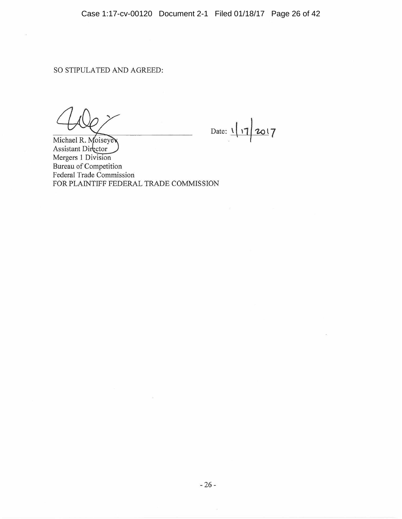$\bar{\alpha}$ 

Date:  $1/7/2017$ 

Michael R. Moiseyev Assistant Director Mergers 1 Division Bureau of Competition Federal Trade Commission FOR PLAINTIFF FEDERAL TRADE COMMISSION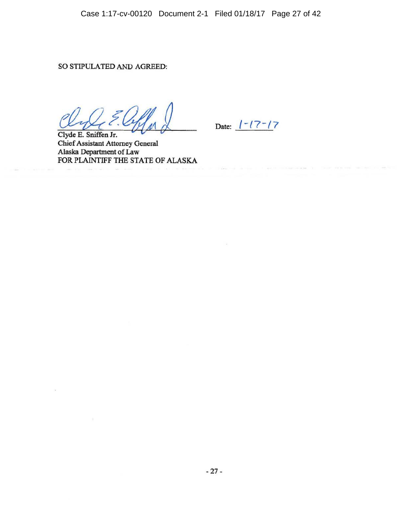Date:  $1 - 17 - 17$ 

Clyde E. Sniffen Jr. Chief Assistant Attorney General Alaska Department of Law FOR PLAINTIFF THE STATE OF ALASKA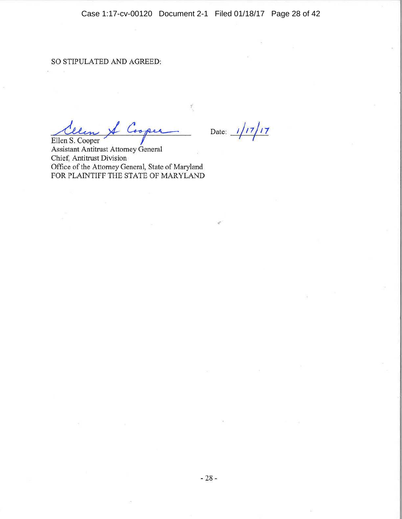Case 1:17-cv-00120 Document 2-1 Filed 01/18/17 Page 28 of 42

# SO STIPULATED AND AGREED:

<u>Allen & Cooper Date: 1/17/17</u> ,,

Assistant Antitrust Attorney General Chief, Antitrust Division Office of the Attorney General, State of Maryland FOR PLAINTIFF THE STATE OF MARYLAND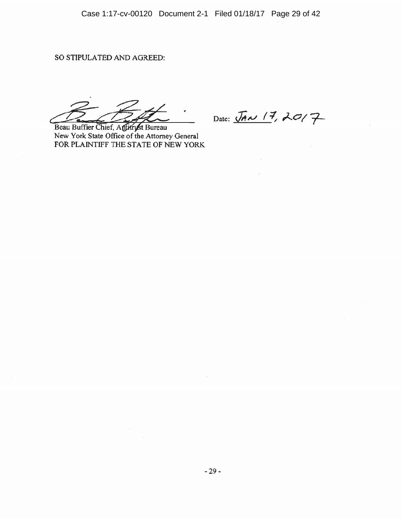Beau Buffier Chief, Antitryst Bureau New York State Office of the Attorney General FOR PLAINTIFF THE STATE OF NEW YORK

Date:  $\overline{J}$ *AN*  $17, 2017$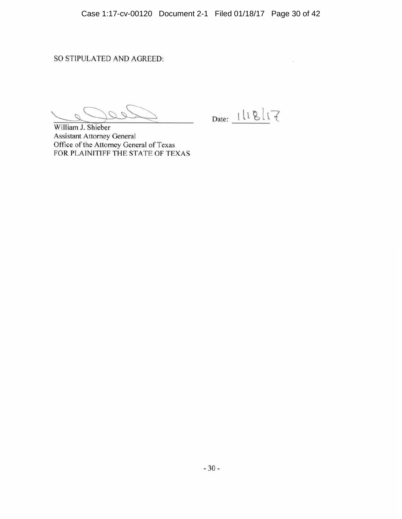Date: 1118/17

William J. Shieber Assistant Attorney General Office of the Attorney General of Texas FOR PLAINITIFF THE STATE OF TEXAS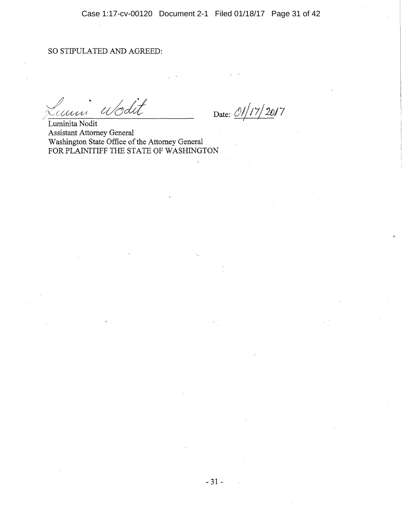Wodit MARAN

Date: *Ol|17/ 2017* 

Luminita Nodit Assistant Attorney General Washington State Office of the Attorney General FOR PLAINITIFF THE STATE OF WASHINGTON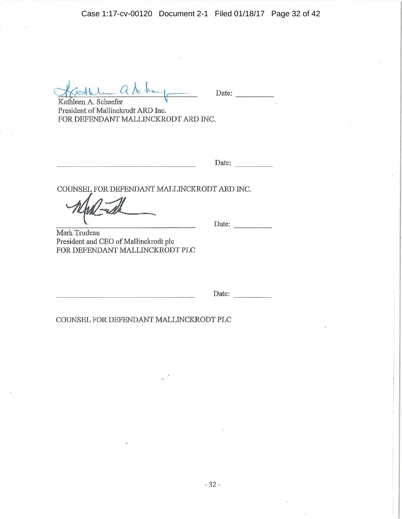Case 1:17-cv-00120 Document 2-1 Filed 01/18/17 Page 32 of 42

 $1 - a$ I how

Date: \_\_\_\_\_\_\_\_\_\_

Kathleen A. Schaefer \) President of Mallinckrodt ARD Inc. FOR DEFENDANT MALLINCKRODT ARD INC.

Date:

COUNSEL FOR DEFENDANT MALLINCKRODT ARD INC.

Date: - - -

Mark Trudeau President and CEO of Mallinckrodt pie FOR DEFENDANT MALLINCKRODT PLC

Date: ----

COUNSEL FOR DEFENDANT MALLINCKRODT PLC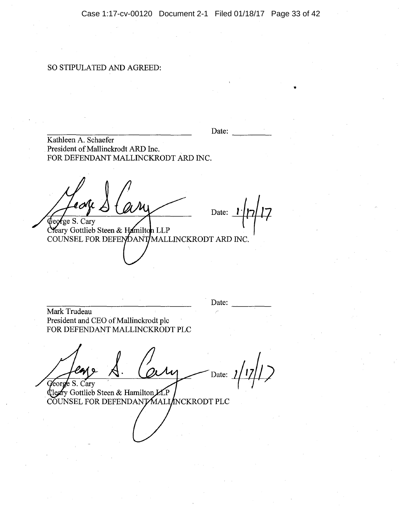..

# SO STIPULATED AND AGREED:

|                                                                                                   | Date: |
|---------------------------------------------------------------------------------------------------|-------|
| Kathleen A. Schaefer<br>President of Mallinckrodt ARD Inc.<br>FOR DEFENDANT MALLINCKRODT ARD INC. |       |
| <b>¢eorge S. Cary</b>                                                                             | Date: |
| Cleary Gottlieb Steen & Hamilton LLP<br>COUNSEL FOR DEFENDANT/MALLINCKRODT ARD INC.               |       |
|                                                                                                   |       |
|                                                                                                   | Date: |
| Mark Trudeau<br>President and CEO of Mallinckrodt plc<br>FOR DEFENDANT MALLINCKRODT PLC           |       |
|                                                                                                   |       |

Date:  $1/17/12$ ens  $\overline{\mathcal{M}}$ George S. Cary

Core 5. Cary<br>Cleary Gottlieb Steen & Hamilton LLP<br>COUNSEL FOR DEFENDANT MALI INCKRODT PLC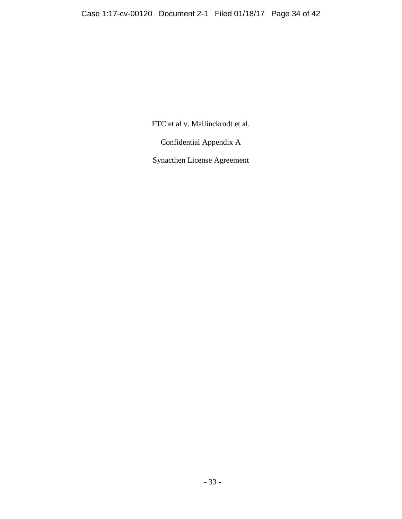FTC et al v. Mallinckrodt et al.

Confidential Appendix A

Synacthen License Agreement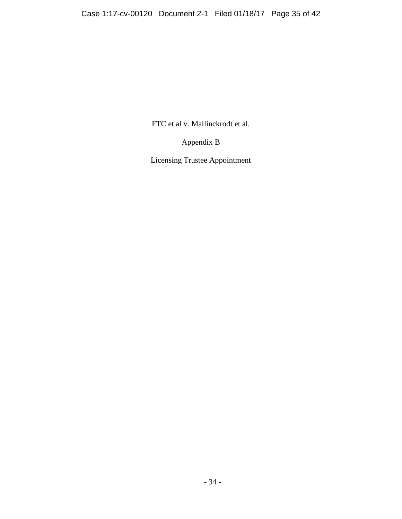FTC et al v. Mallinckrodt et al.

Appendix B

Licensing Trustee Appointment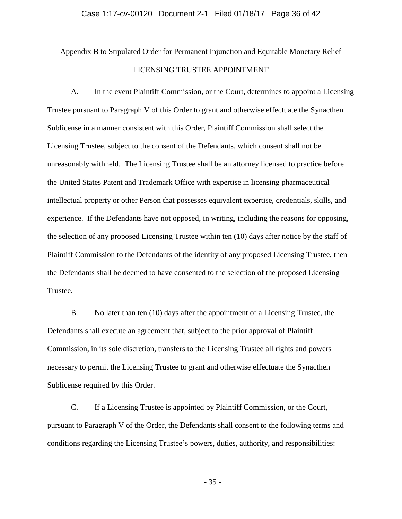# Case 1:17-cv-00120 Document 2-1 Filed 01/18/17 Page 36 of 42

Appendix B to Stipulated Order for Permanent Injunction and Equitable Monetary Relief

# LICENSING TRUSTEE APPOINTMENT

 A. In the event Plaintiff Commission, or the Court, determines to appoint a Licensing unreasonably withheld. The Licensing Trustee shall be an attorney licensed to practice before Trustee. Trustee pursuant to Paragraph V of this Order to grant and otherwise effectuate the Synacthen Sublicense in a manner consistent with this Order, Plaintiff Commission shall select the Licensing Trustee, subject to the consent of the Defendants, which consent shall not be the United States Patent and Trademark Office with expertise in licensing pharmaceutical intellectual property or other Person that possesses equivalent expertise, credentials, skills, and experience. If the Defendants have not opposed, in writing, including the reasons for opposing, the selection of any proposed Licensing Trustee within ten (10) days after notice by the staff of Plaintiff Commission to the Defendants of the identity of any proposed Licensing Trustee, then the Defendants shall be deemed to have consented to the selection of the proposed Licensing

B. No later than ten (10) days after the appointment of a Licensing Trustee, the Defendants shall execute an agreement that, subject to the prior approval of Plaintiff Commission, in its sole discretion, transfers to the Licensing Trustee all rights and powers necessary to permit the Licensing Trustee to grant and otherwise effectuate the Synacthen Sublicense required by this Order.

C. If a Licensing Trustee is appointed by Plaintiff Commission, or the Court, pursuant to Paragraph V of the Order, the Defendants shall consent to the following terms and conditions regarding the Licensing Trustee's powers, duties, authority, and responsibilities: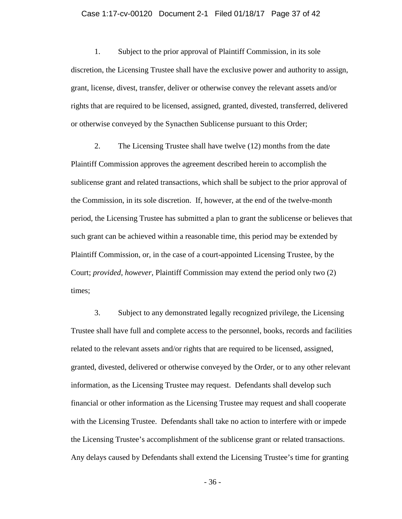### Case 1:17-cv-00120 Document 2-1 Filed 01/18/17 Page 37 of 42

 discretion, the Licensing Trustee shall have the exclusive power and authority to assign, grant, license, divest, transfer, deliver or otherwise convey the relevant assets and/or 1. Subject to the prior approval of Plaintiff Commission, in its sole rights that are required to be licensed, assigned, granted, divested, transferred, delivered or otherwise conveyed by the Synacthen Sublicense pursuant to this Order;

 sublicense grant and related transactions, which shall be subject to the prior approval of 2. The Licensing Trustee shall have twelve (12) months from the date Plaintiff Commission approves the agreement described herein to accomplish the the Commission, in its sole discretion. If, however, at the end of the twelve-month period, the Licensing Trustee has submitted a plan to grant the sublicense or believes that such grant can be achieved within a reasonable time, this period may be extended by Plaintiff Commission, or, in the case of a court-appointed Licensing Trustee, by the Court; *provided, however,* Plaintiff Commission may extend the period only two (2) times;

 the Licensing Trustee's accomplishment of the sublicense grant or related transactions. Any delays caused by Defendants shall extend the Licensing Trustee's time for granting 3. Subject to any demonstrated legally recognized privilege, the Licensing Trustee shall have full and complete access to the personnel, books, records and facilities related to the relevant assets and/or rights that are required to be licensed, assigned, granted, divested, delivered or otherwise conveyed by the Order, or to any other relevant information, as the Licensing Trustee may request. Defendants shall develop such financial or other information as the Licensing Trustee may request and shall cooperate with the Licensing Trustee. Defendants shall take no action to interfere with or impede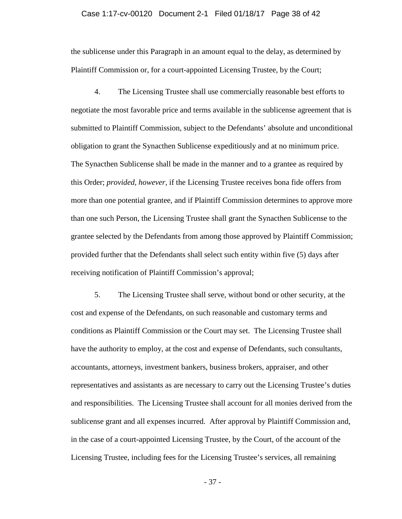# Case 1:17-cv-00120 Document 2-1 Filed 01/18/17 Page 38 of 42

the sublicense under this Paragraph in an amount equal to the delay, as determined by Plaintiff Commission or, for a court-appointed Licensing Trustee, by the Court;

 provided further that the Defendants shall select such entity within five (5) days after 4. The Licensing Trustee shall use commercially reasonable best efforts to negotiate the most favorable price and terms available in the sublicense agreement that is submitted to Plaintiff Commission, subject to the Defendants' absolute and unconditional obligation to grant the Synacthen Sublicense expeditiously and at no minimum price. The Synacthen Sublicense shall be made in the manner and to a grantee as required by this Order; *provided, however,* if the Licensing Trustee receives bona fide offers from more than one potential grantee, and if Plaintiff Commission determines to approve more than one such Person, the Licensing Trustee shall grant the Synacthen Sublicense to the grantee selected by the Defendants from among those approved by Plaintiff Commission; receiving notification of Plaintiff Commission's approval;

5. The Licensing Trustee shall serve, without bond or other security, at the cost and expense of the Defendants, on such reasonable and customary terms and conditions as Plaintiff Commission or the Court may set. The Licensing Trustee shall have the authority to employ, at the cost and expense of Defendants, such consultants, accountants, attorneys, investment bankers, business brokers, appraiser, and other representatives and assistants as are necessary to carry out the Licensing Trustee's duties and responsibilities. The Licensing Trustee shall account for all monies derived from the sublicense grant and all expenses incurred. After approval by Plaintiff Commission and, in the case of a court-appointed Licensing Trustee, by the Court, of the account of the Licensing Trustee, including fees for the Licensing Trustee's services, all remaining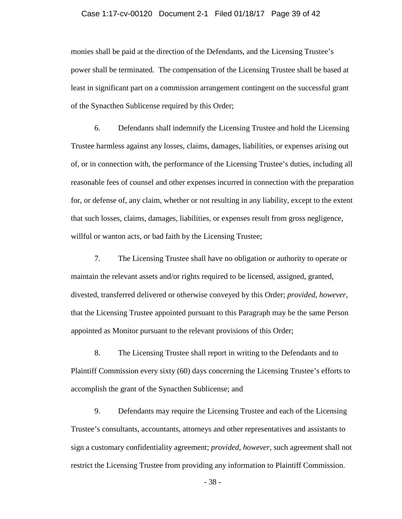# Case 1:17-cv-00120 Document 2-1 Filed 01/18/17 Page 39 of 42

monies shall be paid at the direction of the Defendants, and the Licensing Trustee's power shall be terminated. The compensation of the Licensing Trustee shall be based at least in significant part on a commission arrangement contingent on the successful grant of the Synacthen Sublicense required by this Order;

 6. Defendants shall indemnify the Licensing Trustee and hold the Licensing Trustee harmless against any losses, claims, damages, liabilities, or expenses arising out of, or in connection with, the performance of the Licensing Trustee's duties, including all reasonable fees of counsel and other expenses incurred in connection with the preparation for, or defense of, any claim, whether or not resulting in any liability, except to the extent that such losses, claims, damages, liabilities, or expenses result from gross negligence, willful or wanton acts, or bad faith by the Licensing Trustee;

7. The Licensing Trustee shall have no obligation or authority to operate or maintain the relevant assets and/or rights required to be licensed, assigned, granted, divested, transferred delivered or otherwise conveyed by this Order; *provided, however,*  that the Licensing Trustee appointed pursuant to this Paragraph may be the same Person appointed as Monitor pursuant to the relevant provisions of this Order;

8. The Licensing Trustee shall report in writing to the Defendants and to Plaintiff Commission every sixty (60) days concerning the Licensing Trustee's efforts to accomplish the grant of the Synacthen Sublicense; and

9. Defendants may require the Licensing Trustee and each of the Licensing Trustee's consultants, accountants, attorneys and other representatives and assistants to sign a customary confidentiality agreement; *provided, however,* such agreement shall not restrict the Licensing Trustee from providing any information to Plaintiff Commission.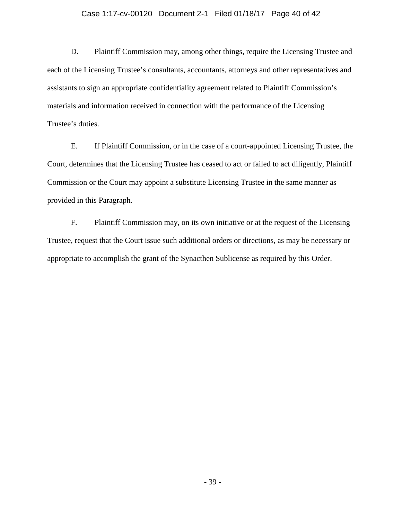# Case 1:17-cv-00120 Document 2-1 Filed 01/18/17 Page 40 of 42

D. Plaintiff Commission may, among other things, require the Licensing Trustee and each of the Licensing Trustee's consultants, accountants, attorneys and other representatives and assistants to sign an appropriate confidentiality agreement related to Plaintiff Commission's materials and information received in connection with the performance of the Licensing Trustee's duties.

 Commission or the Court may appoint a substitute Licensing Trustee in the same manner as E. If Plaintiff Commission, or in the case of a court-appointed Licensing Trustee, the Court, determines that the Licensing Trustee has ceased to act or failed to act diligently, Plaintiff provided in this Paragraph.

 F. Plaintiff Commission may, on its own initiative or at the request of the Licensing Trustee, request that the Court issue such additional orders or directions, as may be necessary or appropriate to accomplish the grant of the Synacthen Sublicense as required by this Order.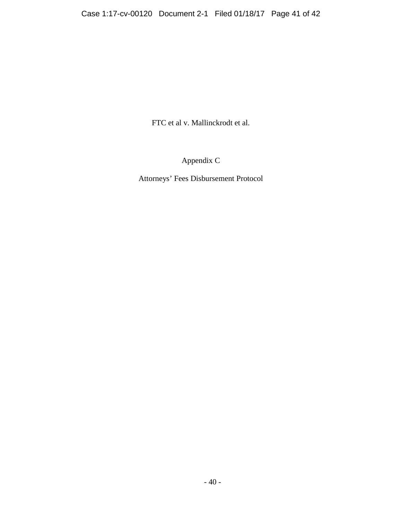FTC et al v. Mallinckrodt et al.

Appendix C

Attorneys' Fees Disbursement Protocol